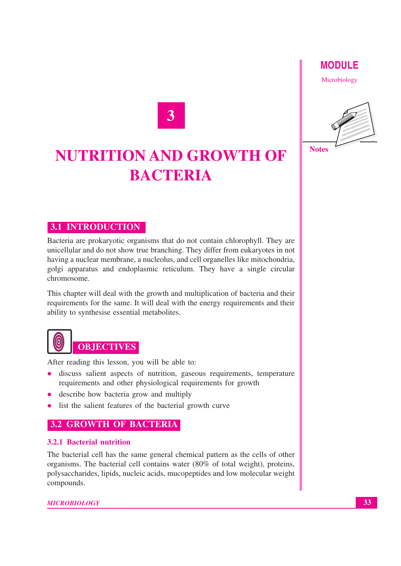### **MODULE**

Microbiology



#### **Notes**

# **NUTRITION AND GROWTH OF BACTERIA**

**3**

#### **3.1 INTRODUCTION**

Bacteria are prokaryotic organisms that do not contain chlorophyll. They are unicellular and do not show true branching. They differ from eukaryotes in not having a nuclear membrane, a nucleolus, and cell organelles like mitochondria, golgi apparatus and endoplasmic reticulum. They have a single circular chromosome.

This chapter will deal with the growth and multiplication of bacteria and their requirements for the same. It will deal with the energy requirements and their ability to synthesise essential metabolites.

# **OBJECTIVES**

After reading this lesson, you will be able to:

- discuss salient aspects of nutrition, gaseous requirements, temperature requirements and other physiological requirements for growth
- describe how bacteria grow and multiply
- list the salient features of the bacterial growth curve

#### **3.2 GROWTH OF BACTERIA**

#### **3.2.1 Bacterial nutrition**

The bacterial cell has the same general chemical pattern as the cells of other organisms. The bacterial cell contains water (80% of total weight), proteins, polysaccharides, lipids, nucleic acids, mucopeptides and low molecular weight compounds.

*MICROBIOLOGY*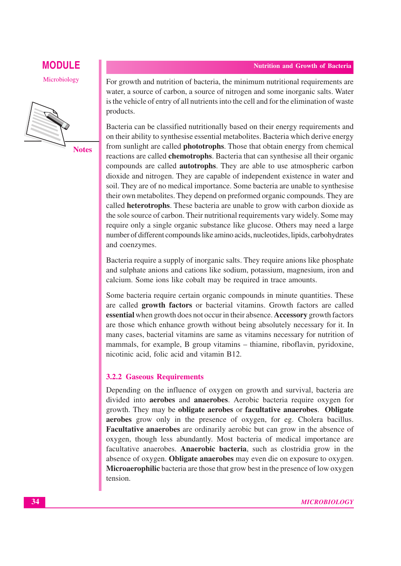### **MODULE Nutrition and Growth of Bacteria**

Microbiology



For growth and nutrition of bacteria, the minimum nutritional requirements are water, a source of carbon, a source of nitrogen and some inorganic salts. Water is the vehicle of entry of all nutrients into the cell and for the elimination of waste products.

Bacteria can be classified nutritionally based on their energy requirements and on their ability to synthesise essential metabolites. Bacteria which derive energy from sunlight are called **phototrophs**. Those that obtain energy from chemical reactions are called **chemotrophs**. Bacteria that can synthesise all their organic compounds are called **autotrophs**. They are able to use atmospheric carbon dioxide and nitrogen. They are capable of independent existence in water and soil. They are of no medical importance. Some bacteria are unable to synthesise their own metabolites. They depend on preformed organic compounds. They are called **heterotrophs**. These bacteria are unable to grow with carbon dioxide as the sole source of carbon. Their nutritional requirements vary widely. Some may require only a single organic substance like glucose. Others may need a large number of different compounds like amino acids, nucleotides, lipids, carbohydrates and coenzymes.

Bacteria require a supply of inorganic salts. They require anions like phosphate and sulphate anions and cations like sodium, potassium, magnesium, iron and calcium. Some ions like cobalt may be required in trace amounts.

Some bacteria require certain organic compounds in minute quantities. These are called **growth factors** or bacterial vitamins. Growth factors are called **essential** when growth does not occur in their absence. **Accessory** growth factors are those which enhance growth without being absolutely necessary for it. In many cases, bacterial vitamins are same as vitamins necessary for nutrition of mammals, for example, B group vitamins – thiamine, riboflavin, pyridoxine, nicotinic acid, folic acid and vitamin B12.

#### **3.2.2 Gaseous Requirements**

Depending on the influence of oxygen on growth and survival, bacteria are divided into **aerobes** and **anaerobes**. Aerobic bacteria require oxygen for growth. They may be **obligate aerobes** or **facultative anaerobes**. **Obligate aerobes** grow only in the presence of oxygen, for eg. Cholera bacillus. **Facultative anaerobes** are ordinarily aerobic but can grow in the absence of oxygen, though less abundantly. Most bacteria of medical importance are facultative anaerobes. **Anaerobic bacteria**, such as clostridia grow in the absence of oxygen. **Obligate anaerobes** may even die on exposure to oxygen. **Microaerophilic** bacteria are those that grow best in the presence of low oxygen tension.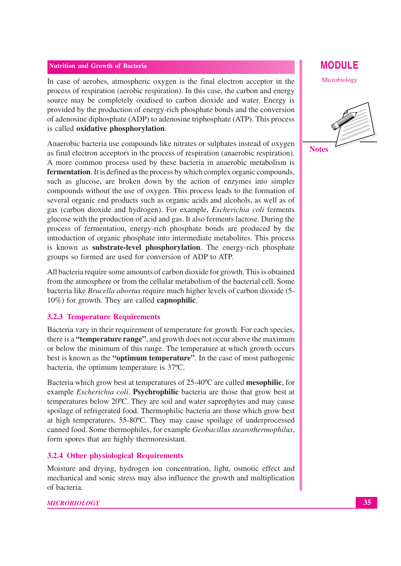#### **Nutrition and Growth of Bacteria**

In case of aerobes, atmospheric oxygen is the final electron acceptor in the process of respiration (aerobic respiration). In this case, the carbon and energy source may be completely oxidised to carbon dioxide and water. Energy is provided by the production of energy-rich phosphate bonds and the conversion of adenosine diphosphate (ADP) to adenosine triphosphate (ATP). This process is called **oxidative phosphorylation**.

Anaerobic bacteria use compounds like nitrates or sulphates instead of oxygen as final electron acceptors in the process of respiration (anaerobic respiration). A more common process used by these bacteria in anaerobic metabolism is **fermentation**. It is defined as the process by which complex organic compounds, such as glucose, are broken down by the action of enzymes into simpler compounds without the use of oxygen. This process leads to the formation of several organic end products such as organic acids and alcohols, as well as of gas (carbon dioxide and hydrogen). For example, *Escherichia coli* ferments glucose with the production of acid and gas. It also ferments lactose. During the process of fermentation, energy-rich phosphate bonds are produced by the introduction of organic phosphate into intermediate metabolites. This process is known as **substrate-level phosphorylation**. The energy-rich phosphate groups so formed are used for conversion of ADP to ATP.

All bacteria require some amounts of carbon dioxide for growth. This is obtained from the atmosphere or from the cellular metabolism of the bacterial cell. Some bacteria like *Brucella abortus* require much higher levels of carbon dioxide (5- 10%) for growth. They are called **capnophilic**.

#### **3.2.3 Temperature Requirements**

Bacteria vary in their requirement of temperature for growth. For each species, there is a **"temperature range"**, and growth does not occur above the maximum or below the minimum of this range. The temperature at which growth occurs best is known as the **"optimum temperature"**. In the case of most pathogenic bacteria, the optimum temperature is 37ºC.

Bacteria which grow best at temperatures of 25-40ºC are called **mesophilic**, for example *Escherichia coli*. **Psychrophilic** bacteria are those that grow best at temperatures below 20ºC. They are soil and water saprophytes and may cause spoilage of refrigerated food. Thermophilic bacteria are those which grow best at high temperatures, 55-80ºC. They may cause spoilage of underprocessed canned food. Some thermophiles, for example *Geobacillus stearothermophilus*, form spores that are highly thermoresistant.

#### **3.2.4 Other physiological Requirements**

Moisture and drying, hydrogen ion concentration, light, osmotic effect and mechanical and sonic stress may also influence the growth and multiplication of bacteria.

### **MODULE**

Microbiology



**Notes**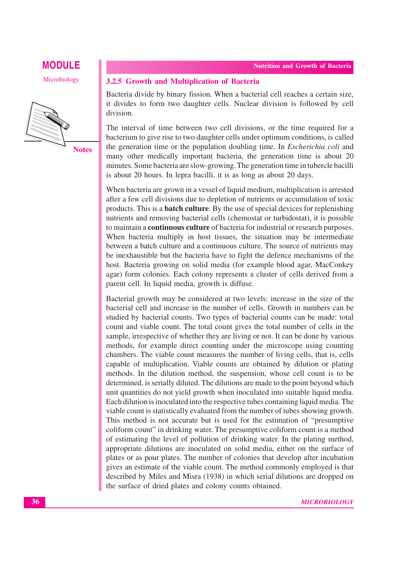Microbiology



#### **3.2.5 Growth and Multiplication of Bacteria**

Bacteria divide by binary fission. When a bacterial cell reaches a certain size, it divides to form two daughter cells. Nuclear division is followed by cell division.

The interval of time between two cell divisions, or the time required for a bacterium to give rise to two daughter cells under optimum conditions, is called the generation time or the population doubling time. In *Escherichia coli* and many other medically important bacteria, the generation time is about 20 minutes. Some bacteria are slow-growing. The generation time in tubercle bacilli is about 20 hours. In lepra bacilli, it is as long as about 20 days.

When bacteria are grown in a vessel of liquid medium, multiplication is arrested after a few cell divisions due to depletion of nutrients or accumulation of toxic products. This is a **batch culture**. By the use of special devices for replenishing nutrients and removing bacterial cells (chemostat or turbidostat), it is possible to maintain a **continuous culture** of bacteria for industrial or research purposes. When bacteria multiply in host tissues, the situation may be intermediate between a batch culture and a continuous culture. The source of nutrients may be inexhaustible but the bacteria have to fight the defence mechanisms of the host. Bacteria growing on solid media (for example blood agar, MacConkey agar) form colonies. Each colony represents a cluster of cells derived from a parent cell. In liquid media, growth is diffuse.

Bacterial growth may be considered at two levels: increase in the size of the bacterial cell and increase in the number of cells. Growth in numbers can be studied by bacterial counts. Two types of bacterial counts can be made: total count and viable count. The total count gives the total number of cells in the sample, irrespective of whether they are living or not. It can be done by various methods, for example direct counting under the microscope using counting chambers. The viable count measures the number of living cells, that is, cells capable of multiplication. Viable counts are obtained by dilution or plating methods. In the dilution method, the suspension, whose cell count is to be determined, is serially diluted. The dilutions are made to the point beyond which unit quantities do not yield growth when inoculated into suitable liquid media. Each dilution is inoculated into the respective tubes containing liquid media. The viable count is statistically evaluated from the number of tubes showing growth. This method is not accurate but is used for the estimation of "presumptive coliform count" in drinking water. The presumptive coliform count is a method of estimating the level of pollution of drinking water. In the plating method, appropriate dilutions are inoculated on solid media, either on the surface of plates or as pour plates. The number of colonies that develop after incubation gives an estimate of the viable count. The method commonly employed is that described by Miles and Misra (1938) in which serial dilutions are dropped on the surface of dried plates and colony counts obtained.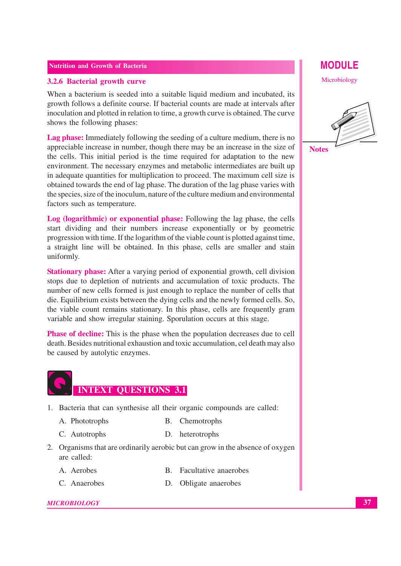#### **Nutrition and Growth of Bacteria**

#### **3.2.6 Bacterial growth curve**

When a bacterium is seeded into a suitable liquid medium and incubated, its growth follows a definite course. If bacterial counts are made at intervals after inoculation and plotted in relation to time, a growth curve is obtained. The curve shows the following phases:

**Lag phase:** Immediately following the seeding of a culture medium, there is no appreciable increase in number, though there may be an increase in the size of the cells. This initial period is the time required for adaptation to the new environment. The necessary enzymes and metabolic intermediates are built up in adequate quantities for multiplication to proceed. The maximum cell size is obtained towards the end of lag phase. The duration of the lag phase varies with the species, size of the inoculum, nature of the culture medium and environmental factors such as temperature.

**Log (logarithmic) or exponential phase:** Following the lag phase, the cells start dividing and their numbers increase exponentially or by geometric progression with time. If the logarithm of the viable count is plotted against time, a straight line will be obtained. In this phase, cells are smaller and stain uniformly.

**Stationary phase:** After a varying period of exponential growth, cell division stops due to depletion of nutrients and accumulation of toxic products. The number of new cells formed is just enough to replace the number of cells that die. Equilibrium exists between the dying cells and the newly formed cells. So, the viable count remains stationary. In this phase, cells are frequently gram variable and show irregular staining. Sporulation occurs at this stage.

**Phase of decline:** This is the phase when the population decreases due to cell death. Besides nutritional exhaustion and toxic accumulation, cel death may also be caused by autolytic enzymes.

# **INTEXT QUESTIONS 3.1**

- 1. Bacteria that can synthesise all their organic compounds are called:
	- A. Phototrophs B. Chemotrophs
	- C. Autotrophs D. heterotrophs
- 2. Organisms that are ordinarily aerobic but can grow in the absence of oxygen are called:
	-
	- A. Aerobes B. Facultative anaerobes
	- C. Anaerobes D. Obligate anaerobes

#### *MICROBIOLOGY*

**MODULE**

Microbiology



**Notes**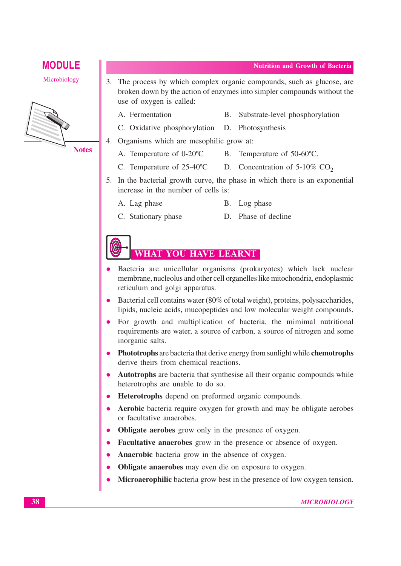Microbiology



- 3. The process by which complex organic compounds, such as glucose, are broken down by the action of enzymes into simpler compounds without the use of oxygen is called:
	-
	- A. Fermentation B. Substrate-level phosphorylation
	- C. Oxidative phosphorylation D. Photosynthesis
- 4. Organisms which are mesophilic grow at:
	- A. Temperature of 0-20°C B. Temperature of 50-60°C.
	- C. Temperature of  $25{\text -}40^{\circ}\text{C}$  D. Concentration of  $5{\text -}10\%$  CO<sub>2</sub>
- 5. In the bacterial growth curve, the phase in which there is an exponential increase in the number of cells is:
	- A. Lag phase B. Log phase
	- C. Stationary phase D. Phase of decline

## **WHAT YOU HAVE LEARNT**

- Bacteria are unicellular organisms (prokaryotes) which lack nuclear membrane, nucleolus and other cell organelles like mitochondria, endoplasmic reticulum and golgi apparatus.
- Bacterial cell contains water (80% of total weight), proteins, polysaccharides, lipids, nucleic acids, mucopeptides and low molecular weight compounds.
- For growth and multiplication of bacteria, the mimimal nutritional requirements are water, a source of carbon, a source of nitrogen and some inorganic salts.
- z **Phototrophs** are bacteria that derive energy from sunlight while **chemotrophs** derive theirs from chemical reactions.
- **Autotrophs** are bacteria that synthesise all their organic compounds while heterotrophs are unable to do so.
- Heterotrophs depend on preformed organic compounds.
- **Aerobic** bacteria require oxygen for growth and may be obligate aerobes or facultative anaerobes.
- **Obligate aerobes** grow only in the presence of oxygen.
- Facultative anaerobes grow in the presence or absence of oxygen.
- Anaerobic bacteria grow in the absence of oxygen.
- **Obligate anaerobes** may even die on exposure to oxygen.
- **Microaerophilic** bacteria grow best in the presence of low oxygen tension.